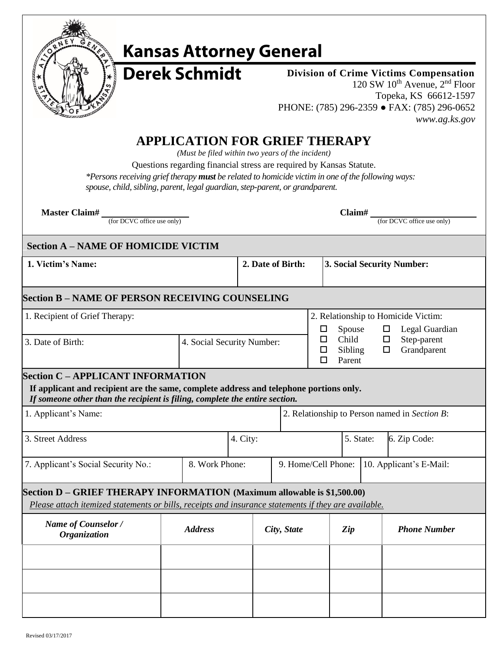

# **Kansas Attorney General**

**Derek Schmidt** 

**Division of Crime Victims Compensation** 120 SW 10th Avenue, 2nd Floor Topeka, KS 66612-1597 PHONE: (785) 296-2359 **●** FAX: (785) 296-0652 *www.ag.ks.gov*

### **APPLICATION FOR GRIEF THERAPY**

*(Must be filed within two years of the incident)*

Questions regarding financial stress are required by Kansas Statute.

*\*Persons receiving grief therapy must be related to homicide victim in one of the following ways:* 

spouse, child, sibling, parent, legal guardian, step-parent, or grandparent.

**Master Claim# Claim# \_**

(for DCVC office use only) (for DCVC office use only)

#### **\_Section A – NAME OF HOMICIDE VICTIM**

**1. Victim's Name: 2. Date of Birth: 3. Social Security Number:**

#### **Section B – NAME OF PERSON RECEIVING COUNSELING**

| 1. Recipient of Grief Therapy: |                            | 2. Relationship to Homicide Victim: |   |                |  |
|--------------------------------|----------------------------|-------------------------------------|---|----------------|--|
|                                |                            | Spouse                              | ப | Legal Guardian |  |
| 3. Date of Birth:              | 4. Social Security Number: | Child                               |   | Step-parent    |  |
|                                |                            | Sibling                             |   | Grandparent    |  |
|                                |                            | Parent                              |   |                |  |

#### **Section C – APPLICANT INFORMATION**

**If applicant and recipient are the same, complete address and telephone portions only.** *If someone other than the recipient is filing, complete the entire section.*

| 1. Applicant's Name:                | 2. Relationship to Person named in Section B: |           |                                             |  |
|-------------------------------------|-----------------------------------------------|-----------|---------------------------------------------|--|
| 13. Street Address                  | 4. City:                                      | 5. State: | 6. Zip Code:                                |  |
| 7. Applicant's Social Security No.: | 8. Work Phone:                                |           | 9. Home/Cell Phone: 10. Applicant's E-Mail: |  |

#### **Section D – GRIEF THERAPY INFORMATION (Maximum allowable is \$1,500.00)**

*Please attach itemized statements or bills, receipts and insurance statements if they are available.*

| <b>Name of Counselor /</b><br><b>Organization</b> | <b>Address</b> | City, State | Zip | <b>Phone Number</b> |
|---------------------------------------------------|----------------|-------------|-----|---------------------|
|                                                   |                |             |     |                     |
|                                                   |                |             |     |                     |
|                                                   |                |             |     |                     |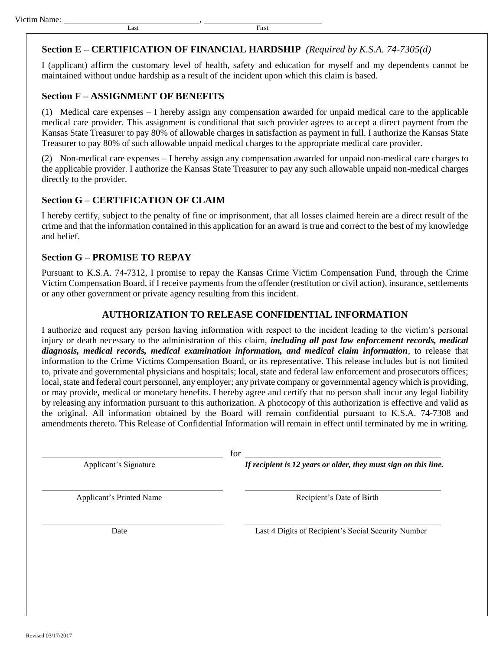#### **Section E – CERTIFICATION OF FINANCIAL HARDSHIP** *(Required by K.S.A. 74-7305(d)*

I (applicant) affirm the customary level of health, safety and education for myself and my dependents cannot be maintained without undue hardship as a result of the incident upon which this claim is based.

#### **Section F – ASSIGNMENT OF BENEFITS**

(1) Medical care expenses – I hereby assign any compensation awarded for unpaid medical care to the applicable medical care provider. This assignment is conditional that such provider agrees to accept a direct payment from the Kansas State Treasurer to pay 80% of allowable charges in satisfaction as payment in full. I authorize the Kansas State Treasurer to pay 80% of such allowable unpaid medical charges to the appropriate medical care provider.

(2) Non-medical care expenses – I hereby assign any compensation awarded for unpaid non-medical care charges to the applicable provider. I authorize the Kansas State Treasurer to pay any such allowable unpaid non-medical charges directly to the provider.

#### **Section G – CERTIFICATION OF CLAIM**

I hereby certify, subject to the penalty of fine or imprisonment, that all losses claimed herein are a direct result of the crime and that the information contained in this application for an award is true and correct to the best of my knowledge and belief.

#### **Section G – PROMISE TO REPAY**

Pursuant to K.S.A. 74-7312, I promise to repay the Kansas Crime Victim Compensation Fund, through the Crime Victim Compensation Board, if I receive payments from the offender (restitution or civil action), insurance, settlements or any other government or private agency resulting from this incident.

#### **AUTHORIZATION TO RELEASE CONFIDENTIAL INFORMATION**

I authorize and request any person having information with respect to the incident leading to the victim's personal injury or death necessary to the administration of this claim, *including all past law enforcement records, medical diagnosis, medical records, medical examination information, and medical claim information*, to release that information to the Crime Victims Compensation Board, or its representative. This release includes but is not limited to, private and governmental physicians and hospitals; local, state and federal law enforcement and prosecutors offices; local, state and federal court personnel, any employer; any private company or governmental agency which is providing, or may provide, medical or monetary benefits. I hereby agree and certify that no person shall incur any legal liability by releasing any information pursuant to this authorization. A photocopy of this authorization is effective and valid as the original. All information obtained by the Board will remain confidential pursuant to K.S.A. 74-7308 and amendments thereto. This Release of Confidential Information will remain in effect until terminated by me in writing.

for

Applicant's Signature *If recipient is 12 years or older, they must sign on this line.*

Applicant's Printed Name Recipient's Date of Birth

Date Last 4 Digits of Recipient's Social Security Number